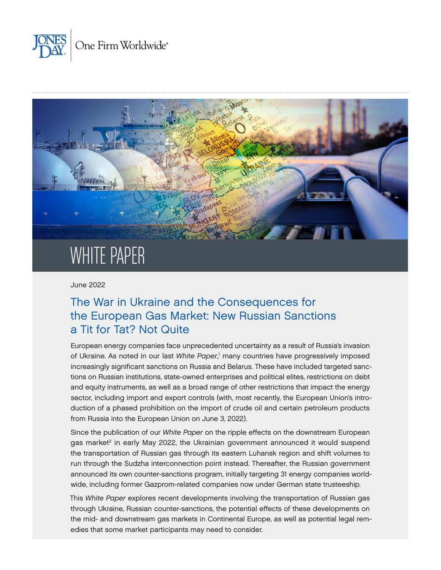<span id="page-0-0"></span>



# WHITE PAPER

June 2022

# The War in Ukraine and the Consequences for the European Gas Market: New Russian Sanctions a Tit for Tat? Not Quite

European energy companies face unprecedented uncertainty as a result of Russia's invasion of Ukraine. As noted in our last *White Paper*, [1](#page-7-0) many countries have progressively imposed increasingly significant sanctions on Russia and Belarus. These have included targeted sanctions on Russian institutions, state-owned enterprises and political elites, restrictions on debt and equity instruments, as well as a broad range of other restrictions that impact the energy sector, including import and export controls (with, most recently, the European Union's introduction of a phased prohibition on the import of crude oil and certain petroleum products from Russia into the European Union on June 3, 2022).

Since the publication of our *White Paper* on the ripple effects on the downstream European gas market<sup>2</sup> in early May 2022, the Ukrainian government announced it would suspend the transportation of Russian gas through its eastern Luhansk region and shift volumes to run through the Sudzha interconnection point instead. Thereafter, the Russian government announced its own counter-sanctions program, initially targeting 31 energy companies worldwide, including former Gazprom-related companies now under German state trusteeship.

This *White Paper* explores recent developments involving the transportation of Russian gas through Ukraine, Russian counter-sanctions, the potential effects of these developments on the mid- and downstream gas markets in Continental Europe, as well as potential legal remedies that some market participants may need to consider.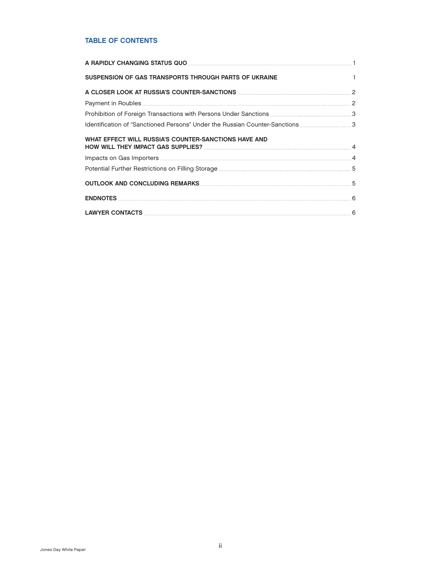### TABLE OF CONTENTS

| SUSPENSION OF GAS TRANSPORTS THROUGH PARTS OF UKRAINE                                                                                                                                                                          | $\overline{1}$ |
|--------------------------------------------------------------------------------------------------------------------------------------------------------------------------------------------------------------------------------|----------------|
|                                                                                                                                                                                                                                |                |
|                                                                                                                                                                                                                                |                |
|                                                                                                                                                                                                                                |                |
|                                                                                                                                                                                                                                |                |
| WHAT EFFECT WILL RUSSIA'S COUNTER-SANCTIONS HAVE AND                                                                                                                                                                           |                |
| Potential Further Restrictions on Filling Storage <b>[2016]</b> The Communications of Storage <b>Authority</b> S                                                                                                               |                |
| OUTLOOK AND CONCLUDING REMARKS MARKED AND RESERVE AND STATE AND STATE AND STATE AND STATE AND STATE AND STATE AND STATE AND STATE AND STATE AND STATE AND STATE AND STATE AND STATE AND STATE AND STATE AND STATE AND STATE AN |                |
|                                                                                                                                                                                                                                |                |
|                                                                                                                                                                                                                                |                |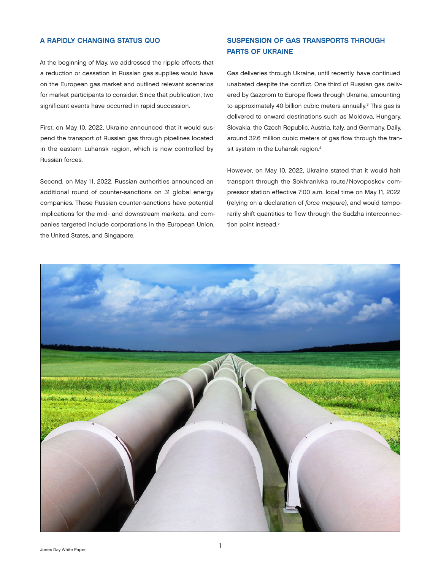#### <span id="page-2-0"></span>A RAPIDLY CHANGING STATUS QUO

At the beginning of May, we addressed the ripple effects that a reduction or cessation in Russian gas supplies would have on the European gas market and outlined relevant scenarios for market participants to consider. Since that publication, two significant events have occurred in rapid succession.

First, on May 10, 2022, Ukraine announced that it would suspend the transport of Russian gas through pipelines located in the eastern Luhansk region, which is now controlled by Russian forces.

Second, on May 11, 2022, Russian authorities announced an additional round of counter-sanctions on 31 global energy companies. These Russian counter-sanctions have potential implications for the mid- and downstream markets, and companies targeted include corporations in the European Union, the United States, and Singapore.

# SUSPENSION OF GAS TRANSPORTS THROUGH PARTS OF UKRAINE

Gas deliveries through Ukraine, until recently, have continued unabated despite the conflict. One third of Russian gas delivered by Gazprom to Europe flows through Ukraine, amounting to approximately 40 billion cubic meters annually.<sup>3</sup> This gas is delivered to onward destinations such as Moldova, Hungary, Slovakia, the Czech Republic, Austria, Italy, and Germany. Daily, around 32.6 million cubic meters of gas flow through the transit system in the Luhansk region.<sup>4</sup>

However, on May 10, 2022, Ukraine stated that it would halt transport through the Sokhranivka route/ Novoposkov compressor station effective 7:00 a.m. local time on May 11, 2022 (relying on a declaration of *force majeure*), and would temporarily shift quantities to flow through the Sudzha interconnection point instead.<sup>5</sup>

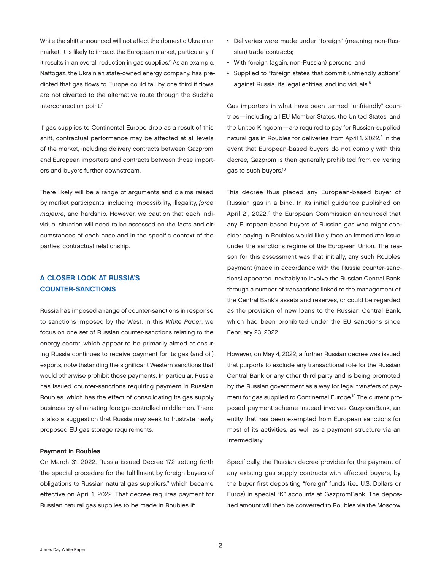<span id="page-3-0"></span>While the shift announced will not affect the domestic Ukrainian market, it is likely to impact the European market, particularly if it results in an overall reduction in gas supplies.<sup>6</sup> As an example, Naftogaz, the Ukrainian state-owned energy company, has predicted that gas flows to Europe could fall by one third if flows are not diverted to the alternative route through the Sudzha interconnection point[.7](#page-7-0)

If gas supplies to Continental Europe drop as a result of this shift, contractual performance may be affected at all levels of the market, including delivery contracts between Gazprom and European importers and contracts between those importers and buyers further downstream.

There likely will be a range of arguments and claims raised by market participants, including impossibility, illegality, *force majeure*, and hardship. However, we caution that each individual situation will need to be assessed on the facts and circumstances of each case and in the specific context of the parties' contractual relationship.

# A CLOSER LOOK AT RUSSIA'S COUNTER-SANCTIONS

Russia has imposed a range of counter-sanctions in response to sanctions imposed by the West. In this *White Paper*, we focus on one set of Russian counter-sanctions relating to the energy sector, which appear to be primarily aimed at ensuring Russia continues to receive payment for its gas (and oil) exports, notwithstanding the significant Western sanctions that would otherwise prohibit those payments. In particular, Russia has issued counter-sanctions requiring payment in Russian Roubles, which has the effect of consolidating its gas supply business by eliminating foreign-controlled middlemen. There is also a suggestion that Russia may seek to frustrate newly proposed EU gas storage requirements.

#### Payment in Roubles

On March 31, 2022, Russia issued Decree 172 setting forth "the special procedure for the fulfillment by foreign buyers of obligations to Russian natural gas suppliers," which became effective on April 1, 2022. That decree requires payment for Russian natural gas supplies to be made in Roubles if:

- Deliveries were made under "foreign" (meaning non-Russian) trade contracts;
- With foreign (again, non-Russian) persons; and
- Supplied to "foreign states that commit unfriendly actions" against Russia, its legal entities, and individuals.<sup>8</sup>

Gas importers in what have been termed "unfriendly" countries—including all EU Member States, the United States, and the United Kingdom—are required to pay for Russian-supplied natural gas in Roubles for deliveries from April 1, 2022.<sup>9</sup> In the event that European-based buyers do not comply with this decree, Gazprom is then generally prohibited from delivering gas to such buyers.<sup>10</sup>

This decree thus placed any European-based buyer of Russian gas in a bind. In its initial guidance published on April 21, 2022,<sup>11</sup> the European Commission announced that any European-based buyers of Russian gas who might consider paying in Roubles would likely face an immediate issue under the sanctions regime of the European Union. The reason for this assessment was that initially, any such Roubles payment (made in accordance with the Russia counter-sanctions) appeared inevitably to involve the Russian Central Bank, through a number of transactions linked to the management of the Central Bank's assets and reserves, or could be regarded as the provision of new loans to the Russian Central Bank, which had been prohibited under the EU sanctions since February 23, 2022.

However, on May 4, 2022, a further Russian decree was issued that purports to exclude any transactional role for the Russian Central Bank or any other third party and is being promoted by the Russian government as a way for legal transfers of pay-ment for gas supplied to Continental Europe.<sup>[12](#page-7-0)</sup> The current proposed payment scheme instead involves GazpromBank, an entity that has been exempted from European sanctions for most of its activities, as well as a payment structure via an intermediary.

Specifically, the Russian decree provides for the payment of any existing gas supply contracts with affected buyers, by the buyer first depositing "foreign" funds (i.e., U.S. Dollars or Euros) in special "K" accounts at GazpromBank. The deposited amount will then be converted to Roubles via the Moscow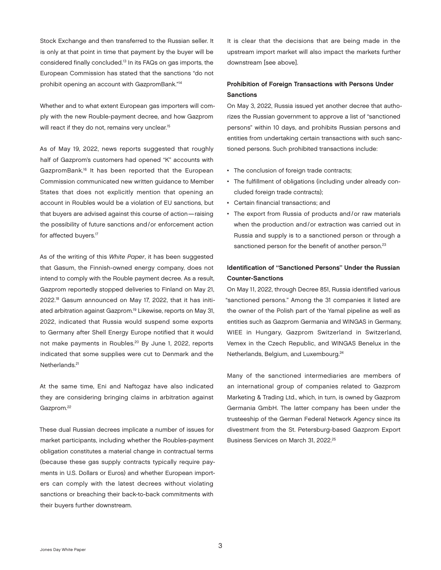<span id="page-4-0"></span>Stock Exchange and then transferred to the Russian seller. It is only at that point in time that payment by the buyer will be considered finally concluded.[13](#page-7-0) In its FAQs on gas imports, the European Commission has stated that the sanctions "do not prohibit opening an account with GazpromBank.["14](#page-7-0)

Whether and to what extent European gas importers will comply with the new Rouble-payment decree, and how Gazprom will react if they do not, remains very unclear.<sup>15</sup>

As of May 19, 2022, news reports suggested that roughly half of Gazprom's customers had opened "K" accounts with GazpromBank.[16](#page-7-0) It has been reported that the European Commission communicated new written guidance to Member States that does not explicitly mention that opening an account in Roubles would be a violation of EU sanctions, but that buyers are advised against this course of action—raising the possibility of future sanctions and/or enforcement action for affected buyers.<sup>17</sup>

As of the writing of this *White Paper*, it has been suggested that Gasum, the Finnish-owned energy company, does not intend to comply with the Rouble payment decree. As a result, Gazprom reportedly stopped deliveries to Finland on May 21, 2022[.18](#page-7-0) Gasum announced on May 17, 2022, that it has initiated arbitration against Gazprom.[19](#page-7-0) Likewise, reports on May 31, 2022, indicated that Russia would suspend some exports to Germany after Shell Energy Europe notified that it would not make payments in Roubles.[20](#page-7-0) By June 1, 2022, reports indicated that some supplies were cut to Denmark and the Netherlands.<sup>21</sup>

At the same time, Eni and Naftogaz have also indicated they are considering bringing claims in arbitration against Gazprom.<sup>22</sup>

These dual Russian decrees implicate a number of issues for market participants, including whether the Roubles-payment obligation constitutes a material change in contractual terms (because these gas supply contracts typically require payments in U.S. Dollars or Euros) and whether European importers can comply with the latest decrees without violating sanctions or breaching their back-to-back commitments with their buyers further downstream.

It is clear that the decisions that are being made in the upstream import market will also impact the markets further downstream [see above].

## Prohibition of Foreign Transactions with Persons Under **Sanctions**

On May 3, 2022, Russia issued yet another decree that authorizes the Russian government to approve a list of "sanctioned persons" within 10 days, and prohibits Russian persons and entities from undertaking certain transactions with such sanctioned persons. Such prohibited transactions include:

- The conclusion of foreign trade contracts;
- The fulfillment of obligations (including under already concluded foreign trade contracts);
- Certain financial transactions; and
- The export from Russia of products and/or raw materials when the production and/or extraction was carried out in Russia and supply is to a sanctioned person or through a sanctioned person for the benefit of another person.<sup>[23](#page-7-0)</sup>

# Identification of "Sanctioned Persons" Under the Russian Counter-Sanctions

On May 11, 2022, through Decree 851, Russia identified various "sanctioned persons." Among the 31 companies it listed are the owner of the Polish part of the Yamal pipeline as well as entities such as Gazprom Germania and WINGAS in Germany, WIEE in Hungary, Gazprom Switzerland in Switzerland, Vemex in the Czech Republic, and WINGAS Benelux in the Netherlands, Belgium, and Luxembourg.[24](#page-7-0)

Many of the sanctioned intermediaries are members of an international group of companies related to Gazprom Marketing & Trading Ltd., which, in turn, is owned by Gazprom Germania GmbH. The latter company has been under the trusteeship of the German Federal Network Agency since its divestment from the St. Petersburg-based Gazprom Export Business Services on March 31, 2022.[25](#page-7-0)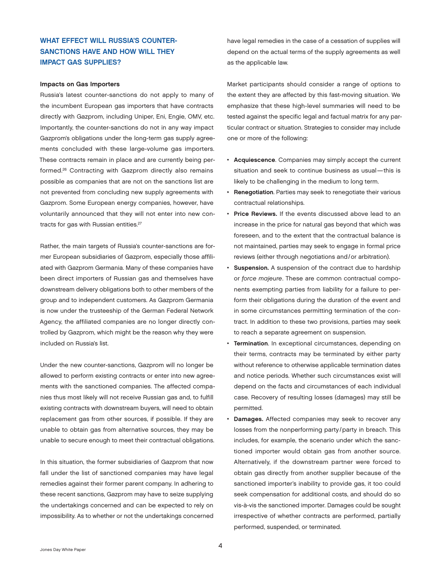# <span id="page-5-0"></span>WHAT EFFECT WILL RUSSIA'S COUNTER-SANCTIONS HAVE AND HOW WILL THEY IMPACT GAS SUPPLIES?

#### Impacts on Gas Importers

Russia's latest counter-sanctions do not apply to many of the incumbent European gas importers that have contracts directly with Gazprom, including Uniper, Eni, Engie, OMV, etc. Importantly, the counter-sanctions do not in any way impact Gazprom's obligations under the long-term gas supply agreements concluded with these large-volume gas importers. These contracts remain in place and are currently being performed.[26](#page-8-0) Contracting with Gazprom directly also remains possible as companies that are not on the sanctions list are not prevented from concluding new supply agreements with Gazprom. Some European energy companies, however, have voluntarily announced that they will not enter into new con-tracts for gas with Russian entities.<sup>[27](#page-8-0)</sup>

Rather, the main targets of Russia's counter-sanctions are former European subsidiaries of Gazprom, especially those affiliated with Gazprom Germania. Many of these companies have been direct importers of Russian gas and themselves have downstream delivery obligations both to other members of the group and to independent customers. As Gazprom Germania is now under the trusteeship of the German Federal Network Agency, the affiliated companies are no longer directly controlled by Gazprom, which might be the reason why they were included on Russia's list.

Under the new counter-sanctions, Gazprom will no longer be allowed to perform existing contracts or enter into new agreements with the sanctioned companies. The affected companies thus most likely will not receive Russian gas and, to fulfill existing contracts with downstream buyers, will need to obtain replacement gas from other sources, if possible. If they are unable to obtain gas from alternative sources, they may be unable to secure enough to meet their contractual obligations.

In this situation, the former subsidiaries of Gazprom that now fall under the list of sanctioned companies may have legal remedies against their former parent company. In adhering to these recent sanctions, Gazprom may have to seize supplying the undertakings concerned and can be expected to rely on impossibility. As to whether or not the undertakings concerned

have legal remedies in the case of a cessation of supplies will depend on the actual terms of the supply agreements as well as the applicable law.

Market participants should consider a range of options to the extent they are affected by this fast-moving situation. We emphasize that these high-level summaries will need to be tested against the specific legal and factual matrix for any particular contract or situation. Strategies to consider may include one or more of the following:

- Acquiescence. Companies may simply accept the current situation and seek to continue business as usual—this is likely to be challenging in the medium to long term.
- Renegotiation. Parties may seek to renegotiate their various contractual relationships.
- Price Reviews. If the events discussed above lead to an increase in the price for natural gas beyond that which was foreseen, and to the extent that the contractual balance is not maintained, parties may seek to engage in formal price reviews (either through negotiations and/or arbitration).
- Suspension. A suspension of the contract due to hardship or *force majeure*. These are common contractual components exempting parties from liability for a failure to perform their obligations during the duration of the event and in some circumstances permitting termination of the contract. In addition to these two provisions, parties may seek to reach a separate agreement on suspension.
- Termination. In exceptional circumstances, depending on their terms, contracts may be terminated by either party without reference to otherwise applicable termination dates and notice periods. Whether such circumstances exist will depend on the facts and circumstances of each individual case. Recovery of resulting losses (damages) may still be permitted.
- Damages. Affected companies may seek to recover any losses from the nonperforming party/party in breach. This includes, for example, the scenario under which the sanctioned importer would obtain gas from another source. Alternatively, if the downstream partner were forced to obtain gas directly from another supplier because of the sanctioned importer's inability to provide gas, it too could seek compensation for additional costs, and should do so vis-à-vis the sanctioned importer. Damages could be sought irrespective of whether contracts are performed, partially performed, suspended, or terminated.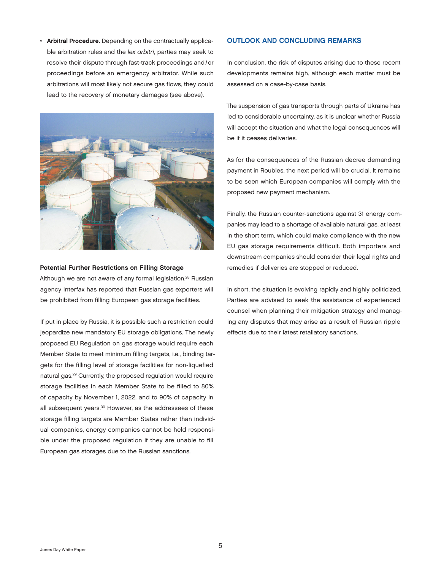<span id="page-6-0"></span>• Arbitral Procedure. Depending on the contractually applicable arbitration rules and the *lex arbitri*, parties may seek to resolve their dispute through fast-track proceedings and/or proceedings before an emergency arbitrator. While such arbitrations will most likely not secure gas flows, they could lead to the recovery of monetary damages (see above).



#### Potential Further Restrictions on Filling Storage

Although we are not aware of any formal legislation,<sup>[28](#page-8-0)</sup> Russian agency Interfax has reported that Russian gas exporters will be prohibited from filling European gas storage facilities.

If put in place by Russia, it is possible such a restriction could jeopardize new mandatory EU storage obligations. The newly proposed EU Regulation on gas storage would require each Member State to meet minimum filling targets, i.e., binding targets for the filling level of storage facilities for non-liquefied natural gas.[29](#page-8-0) Currently, the proposed regulation would require storage facilities in each Member State to be filled to 80% of capacity by November 1, 2022, and to 90% of capacity in all subsequent years.<sup>30</sup> However, as the addressees of these storage filling targets are Member States rather than individual companies, energy companies cannot be held responsible under the proposed regulation if they are unable to fill European gas storages due to the Russian sanctions.

#### OUTLOOK AND CONCLUDING REMARKS

In conclusion, the risk of disputes arising due to these recent developments remains high, although each matter must be assessed on a case-by-case basis.

The suspension of gas transports through parts of Ukraine has led to considerable uncertainty, as it is unclear whether Russia will accept the situation and what the legal consequences will be if it ceases deliveries.

As for the consequences of the Russian decree demanding payment in Roubles, the next period will be crucial. It remains to be seen which European companies will comply with the proposed new payment mechanism.

Finally, the Russian counter-sanctions against 31 energy companies may lead to a shortage of available natural gas, at least in the short term, which could make compliance with the new EU gas storage requirements difficult. Both importers and downstream companies should consider their legal rights and remedies if deliveries are stopped or reduced.

In short, the situation is evolving rapidly and highly politicized. Parties are advised to seek the assistance of experienced counsel when planning their mitigation strategy and managing any disputes that may arise as a result of Russian ripple effects due to their latest retaliatory sanctions.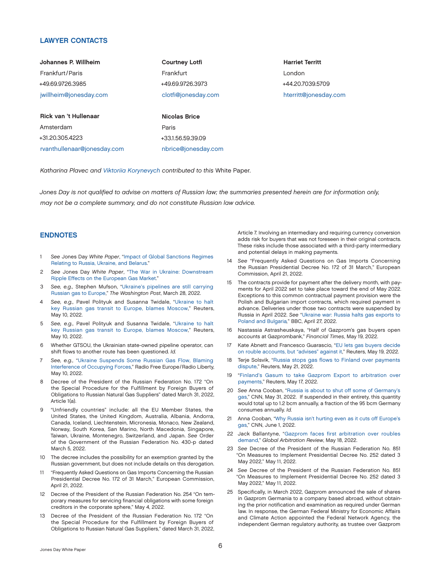#### <span id="page-7-0"></span>LAWYER CONTACTS

| Johannes P. Willheim        | <b>Courtney Lotfi</b> |
|-----------------------------|-----------------------|
| Frankfurt/Paris             | Frankfurt             |
| +49.69.9726.3985            | +49.69.9726.3973      |
| jwillheim@jonesday.com      | clotfi@jonesday.com   |
|                             |                       |
| Rick van 't Hullenaar       | <b>Nicolas Brice</b>  |
| Amsterdam                   | Paris                 |
| +31.20.305.4223             | +33.1.56.59.39.09     |
| rvanthullenaar@jonesday.com | nbrice@jonesday.com   |

Harriet Territt London +44.20.7039.5709 [hterritt@jonesday.com](mailto:hterritt@jonesday.com)

*Katharina Plavec and [Viktoriia Korynevych](https://www.jonesday.com/en/lawyers/k/viktoriia-korynevych) contributed to this* White Paper.

*Jones Day is not qualified to advise on matters of Russian law; the summaries presented herein are for information only, may not be a complete summary, and do not constitute Russian law advice.*

#### ENDNOTES

- [1](#page-0-0) *See* Jones Day *White Paper*, "[Impact of Global Sanctions Regimes](https://www.jonesday.com/en/insights/2022/05/impact-of-global-sanctions-regimes-relating-to-russia-ukraine-and-belarus)  [Relating to Russia, Ukraine, and Belarus.](https://www.jonesday.com/en/insights/2022/05/impact-of-global-sanctions-regimes-relating-to-russia-ukraine-and-belarus)"
- [2](#page-0-0) *See* Jones Day *White Paper*, "[The War in Ukraine: Downstream](https://www.jonesday.com/en/insights/2022/05/the-war-in-ukraine--downstream-ripple-effects-on-the-european-gas-market)  [Ripple Effects on the European Gas Market](https://www.jonesday.com/en/insights/2022/05/the-war-in-ukraine--downstream-ripple-effects-on-the-european-gas-market)."
- [3](#page-2-0) *See, e.g.,* Stephen Mufson, "[Ukraine's pipelines are still carrying](https://www.washingtonpost.com/climate-environment/2022/03/28/ukraine-russian-gas-europe-naftogaz/)  [Russian gas to Europe,](https://www.washingtonpost.com/climate-environment/2022/03/28/ukraine-russian-gas-europe-naftogaz/)" *The Washington Post*, March 28, 2022.
- [4](#page-2-0) *See, e.g.,* Pavel Polityuk and Susanna Twidale, "[Ukraine to halt](https://www.reuters.com/business/energy/ukraine-gas-system-operator-declares-force-majeure-sokhranivka-entry-point-2022-05-10/)  [key Russian gas transit to Europe, blames Moscow,](https://www.reuters.com/business/energy/ukraine-gas-system-operator-declares-force-majeure-sokhranivka-entry-point-2022-05-10/)" Reuters, May 10, 2022.
- [5](#page-2-0) *See, e.g.,* Pavel Polityuk and Susanna Twidale, "[Ukraine to halt](https://www.reuters.com/business/energy/ukraine-gas-system-operator-declares-force-majeure-sokhranivka-entry-point-2022-05-10/)  [key Russian gas transit to Europe, blames Moscow,](https://www.reuters.com/business/energy/ukraine-gas-system-operator-declares-force-majeure-sokhranivka-entry-point-2022-05-10/)" Reuters, May 10, 2022.
- [6](#page-3-0) Whether GTSOU, the Ukrainian state-owned pipeline operator, can shift flows to another route has been questioned. *Id.*
- [7](#page-3-0) *See, e.g.,* ["Ukraine Suspends Some Russian Gas Flow, Blaming](https://www.rferl.org/a/russia-gas-ukraine-suspend-force-majeure/31843451.html)  [Interference of Occupying Forces,](https://www.rferl.org/a/russia-gas-ukraine-suspend-force-majeure/31843451.html)" Radio Free Europe/Radio Liberty, May 10, 2022.
- [8](#page-3-0) Decree of the President of the Russian Federation No. 172 "On the Special Procedure for the Fulfillment by Foreign Buyers of Obligations to Russian Natural Gas Suppliers" dated March 31, 2022, Article 1(a).
- [9](#page-3-0) "Unfriendly countries" include: all the EU Member States, the United States, the United Kingdom, Australia, Albania, Andorra, Canada, Iceland, Liechtenstein, Micronesia, Monaco, New Zealand, Norway, South Korea, San Marino, North Macedonia, Singapore, Taiwan, Ukraine, Montenegro, Switzerland, and Japan. *See* Order of the Government of the Russian Federation No. 430-p dated March 5, 2022.
- [10](#page-3-0) The decree includes the possibility for an exemption granted by the Russian government, but does not include details on this derogation.
- [11](#page-3-0) "Frequently Asked Questions on Gas Imports Concerning the Russian Presidential Decree No. 172 of 31 March," European Commission, April 21, 2022.
- [12](#page-3-0) Decree of the President of the Russian Federation No. 254 "On temporary measures for servicing financial obligations with some foreign creditors in the corporate sphere," May 4, 2022.
- [13](#page-4-0) Decree of the President of the Russian Federation No. 172 "On the Special Procedure for the Fulfillment by Foreign Buyers of Obligations to Russian Natural Gas Suppliers," dated March 31, 2022,

Article 7. Involving an intermediary and requiring currency conversion adds risk for buyers that was not foreseen in their original contracts. These risks include those associated with a third-party intermediary and potential delays in making payments.

- [14](#page-4-0) *See* "Frequently Asked Questions on Gas Imports Concerning the Russian Presidential Decree No. 172 of 31 March," European Commission, April 21, 2022.
- [15](#page-4-0) The contracts provide for payment after the delivery month, with payments for April 2022 set to take place toward the end of May 2022. Exceptions to this common contractual payment provision were the Polish and Bulgarian import contracts, which required payment in advance. Deliveries under those two contracts were suspended by Russia in April 2022. *See* "[Ukraine war: Russia halts gas exports to](https://www.bbc.co.uk/news/business-61237519) [Poland and Bulgaria](https://www.bbc.co.uk/news/business-61237519)*,*" BBC, April 27, 2022.
- [16](#page-4-0) Nastassia Astrasheuskaya, "Half of Gazprom's gas buyers open accounts at Gazprombank," *Financial Times*, May 19, 2022.
- [17](#page-4-0) Kate Abnett and Francesco Guarascio, ["EU lets gas buyers decide](https://www.reuters.com/markets/europe/eu-lets-gas-buyers-decide-rouble-accounts-advises-against-it-2022-05-19/)  [on rouble accounts, but "advises" against it](https://www.reuters.com/markets/europe/eu-lets-gas-buyers-decide-rouble-accounts-advises-against-it-2022-05-19/)," Reuters, May 19, 2022.
- [18](#page-4-0) Terje Solsvik, "[Russia stops gas flows to Finland over payments](https://www.reuters.com/business/energy/russia-stops-finland-gas-flow-over-payments-dispute-2022-05-21/#:~:text=%22Gas%20imports%20through%20Imatra%20entry,for%20Russian%20gas%20into%20Finland.&text=Gasum%20and%20Gazprom%20also%20confirmed%20on%20Saturday%20the%20flows%20had%20stopped.)  [dispute](https://www.reuters.com/business/energy/russia-stops-finland-gas-flow-over-payments-dispute-2022-05-21/#:~:text=%22Gas%20imports%20through%20Imatra%20entry,for%20Russian%20gas%20into%20Finland.&text=Gasum%20and%20Gazprom%20also%20confirmed%20on%20Saturday%20the%20flows%20had%20stopped.)," Reuters, May 21, 2022.
- [19](#page-4-0) "[Finland's Gasum to take Gazprom Export to arbitration over](https://www.reuters.com/markets/commodities/finlands-gasum-take-gazprom-export-arbitration-over-payments-2022-05-17/) [payments,](https://www.reuters.com/markets/commodities/finlands-gasum-take-gazprom-export-arbitration-over-payments-2022-05-17/)" Reuters, May 17, 2022.
- [20](#page-4-0) *See* Anna Cooban, "[Russia is about to shut off some of Germany's](https://edition.cnn.com/2022/05/31/energy/russia-shell-germany-gas-shut-off/index.html)  [gas,](https://edition.cnn.com/2022/05/31/energy/russia-shell-germany-gas-shut-off/index.html)" CNN, May 31, 2022. If suspended in their entirety, this quantity would total up to 1.2 bcm annually, a fraction of the 95 bcm Germany consumes annually. *Id.*
- [21](#page-4-0) Anna Cooban, "[Why Russia isn't hurting even as it cuts off Europe's](https://edition.cnn.com/2022/06/01/energy/eu-russia-gas-cut-off-value/index.html)  [gas,](https://edition.cnn.com/2022/06/01/energy/eu-russia-gas-cut-off-value/index.html)" CNN, June 1, 2022.
- [22](#page-4-0) Jack Ballantyne, ["Gazprom faces first arbitration over roubles](https://globalarbitrationreview.com/article/gazprom-faces-first-arbitration-over-roubles-demand)  [demand](https://globalarbitrationreview.com/article/gazprom-faces-first-arbitration-over-roubles-demand)," *Global Arbitration Review*, May 18, 2022.
- [23](#page-4-0) *See* Decree of the President of the Russian Federation No. 851 "On Measures to Implement Presidential Decree No. 252 dated 3 May 2022," May 11, 2022.
- [24](#page-4-0) *See* Decree of the President of the Russian Federation No. 851 "On Measures to Implement Presidential Decree No. 252 dated 3 May 2022," May 11, 2022.
- [25](#page-4-0) Specifically, in March 2022, Gazprom announced the sale of shares in Gazprom Germania to a company based abroad, without obtaining the prior notification and examination as required under German law. In response, the German Federal Ministry for Economic Affairs and Climate Action appointed the Federal Network Agency, the independent German regulatory authority, as trustee over Gazprom